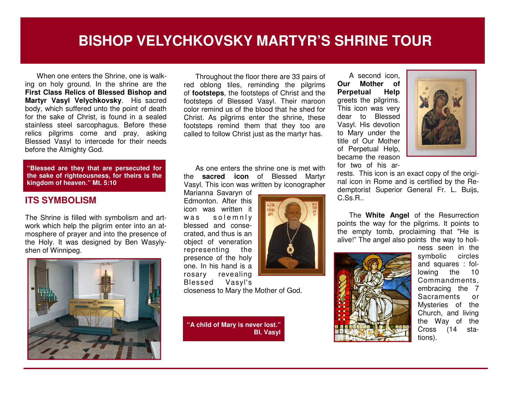## **BISHOP VELYCHKOVSKY MARTYR'S SHRINE TOUR**

When one enters the Shrine, one is walking on holy ground. In the shrine are the **First Class Relics of Blessed Bishop and Martyr Vasyl Velychkovsky**. His sacred body, which suffered unto the point of death for the sake of Christ, is found in a sealed stainless steel sarcophagus. Before these relics pilgrims come and pray, asking Blessed Vasyl to intercede for their needs before the Almighty God.

**"Blessed are they that are persecuted for the sake of righteousness, for theirs is the kingdom of heaven." Mt. 5:10** 

## **ITS SYMBOLISM**

The Shrine is filled with symbolism and artwork which help the pilgrim enter into an atmosphere of prayer and into the presence of the Holy. It was designed by Ben Wasylyshen of Winnipeg.



Throughout the floor there are 33 pairs of red oblong tiles, reminding the pilgrims of **footsteps**, the footsteps of Christ and the footsteps of Blessed Vasyl. Their maroon color remind us of the blood that he shed for Christ. As pilgrims enter the shrine, these footsteps remind them that they too are called to follow Christ just as the martyr has.

As one enters the shrine one is met with the **sacred icon** of Blessed Martyr Vasyl. This icon was written by iconographer

câŭ

Marianna Savaryn of Edmonton. After this icon was written it was solemnly blessed and consecrated, and thus is an object of veneration the representing presence of the holy one. In his hand is a rosary revealing Blessed Vasyl's

closeness to Mary the Mother of God.

**"A child of Mary is never lost." Bl. Vasyl** 



ness seen in the circles symbolic and squares : following the 10 Commandments, embracing the 7 or **Sacraments**  Mysteries of the Church, and living the Way of the sta- $Cross$  (14 tions).

A second icon, **Our Mother of** Help **Perpetual**  greets the pilgrims. This icon was very dear to Blessed Vasyl. His devotion to Mary under the title of Our Mother of Perpetual Help, became the reason for two of his ar-



rests. This icon is an exact copy of the original icon in Rome and is certified by the Redemptorist Superior General Fr. L. Buijs, C.Ss.R..

The **White Angel** of the Resurrection points the way for the pilgrims. It points to the empty tomb, proclaiming that "He is alive!" The angel also points the way to holi-